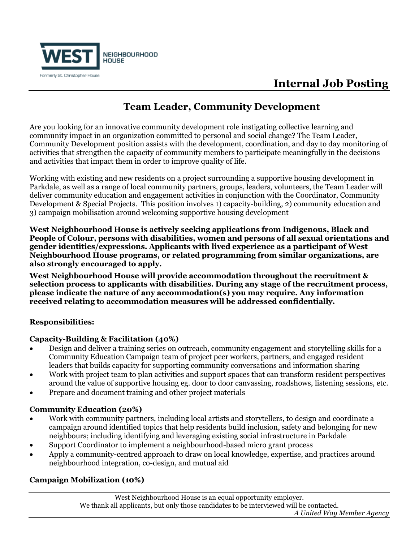

# **Internal Job Posting**

# **Team Leader, Community Development**

Are you looking for an innovative community development role instigating collective learning and community impact in an organization committed to personal and social change? The Team Leader, Community Development position assists with the development, coordination, and day to day monitoring of activities that strengthen the capacity of community members to participate meaningfully in the decisions and activities that impact them in order to improve quality of life.

Working with existing and new residents on a project surrounding a supportive housing development in Parkdale, as well as a range of local community partners, groups, leaders, volunteers, the Team Leader will deliver community education and engagement activities in conjunction with the Coordinator, Community Development & Special Projects. This position involves 1) capacity-building, 2) community education and 3) campaign mobilisation around welcoming supportive housing development

**West Neighbourhood House is actively seeking applications from Indigenous, Black and People of Colour, persons with disabilities, women and persons of all sexual orientations and gender identities/expressions. Applicants with lived experience as a participant of West Neighbourhood House programs, or related programming from similar organizations, are also strongly encouraged to apply.** 

**West Neighbourhood House will provide accommodation throughout the recruitment & selection process to applicants with disabilities. During any stage of the recruitment process, please indicate the nature of any accommodation(s) you may require. Any information received relating to accommodation measures will be addressed confidentially.**

## **Responsibilities:**

## **Capacity-Building & Facilitation (40%)**

- Design and deliver a training series on outreach, community engagement and storytelling skills for a Community Education Campaign team of project peer workers, partners, and engaged resident leaders that builds capacity for supporting community conversations and information sharing
- Work with project team to plan activities and support spaces that can transform resident perspectives around the value of supportive housing eg. door to door canvassing, roadshows, listening sessions, etc.
- Prepare and document training and other project materials

## **Community Education (20%)**

- Work with community partners, including local artists and storytellers, to design and coordinate a campaign around identified topics that help residents build inclusion, safety and belonging for new neighbours; including identifying and leveraging existing social infrastructure in Parkdale
- Support Coordinator to implement a neighbourhood-based micro grant process
- Apply a community-centred approach to draw on local knowledge, expertise, and practices around neighbourhood integration, co-design, and mutual aid

## **Campaign Mobilization (10%)**

West Neighbourhood House is an equal opportunity employer. We thank all applicants, but only those candidates to be interviewed will be contacted. *A United Way Member Agency*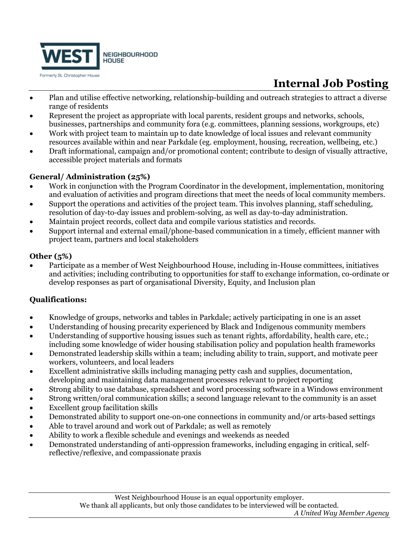

# **Internal Job Posting**

- Plan and utilise effective networking, relationship-building and outreach strategies to attract a diverse range of residents
- Represent the project as appropriate with local parents, resident groups and networks, schools, businesses, partnerships and community fora (e.g. committees, planning sessions, workgroups, etc)
- Work with project team to maintain up to date knowledge of local issues and relevant community resources available within and near Parkdale (eg. employment, housing, recreation, wellbeing, etc.)
- Draft informational, campaign and/or promotional content; contribute to design of visually attractive, accessible project materials and formats

## **General/ Administration (25%)**

- Work in conjunction with the Program Coordinator in the development, implementation, monitoring and evaluation of activities and program directions that meet the needs of local community members.
- Support the operations and activities of the project team. This involves planning, staff scheduling, resolution of day-to-day issues and problem-solving, as well as day-to-day administration.
- Maintain project records, collect data and compile various statistics and records.
- Support internal and external email/phone-based communication in a timely, efficient manner with project team, partners and local stakeholders

## **Other (5%)**

• Participate as a member of West Neighbourhood House, including in-House committees, initiatives and activities; including contributing to opportunities for staff to exchange information, co-ordinate or develop responses as part of organisational Diversity, Equity, and Inclusion plan

# **Qualifications:**

- Knowledge of groups, networks and tables in Parkdale; actively participating in one is an asset
- Understanding of housing precarity experienced by Black and Indigenous community members
- Understanding of supportive housing issues such as tenant rights, affordability, health care, etc.; including some knowledge of wider housing stabilisation policy and population health frameworks
- Demonstrated leadership skills within a team; including ability to train, support, and motivate peer workers, volunteers, and local leaders
- Excellent administrative skills including managing petty cash and supplies, documentation, developing and maintaining data management processes relevant to project reporting
- Strong ability to use database, spreadsheet and word processing software in a Windows environment
- Strong written/oral communication skills; a second language relevant to the community is an asset
- Excellent group facilitation skills
- Demonstrated ability to support one-on-one connections in community and/or arts-based settings
- Able to travel around and work out of Parkdale; as well as remotely
- Ability to work a flexible schedule and evenings and weekends as needed
- Demonstrated understanding of anti-oppression frameworks, including engaging in critical, selfreflective/reflexive, and compassionate praxis